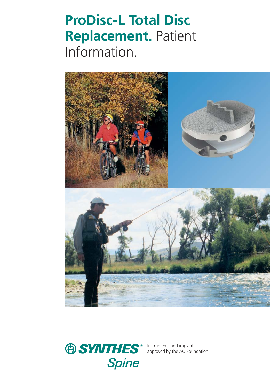# **ProDisc-L Total Disc Replacement.** Patient Information.





Instruments and implants approved by the AO Foundation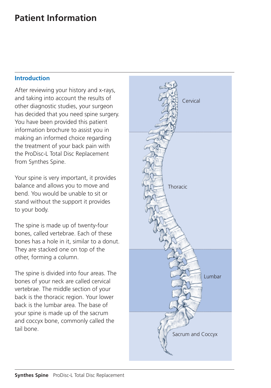#### **Introduction**

After reviewing your history and x-rays, and taking into account the results of other diagnostic studies, your surgeon has decided that you need spine surgery. You have been provided this patient information brochure to assist you in making an informed choice regarding the treatment of your back pain with the ProDisc-L Total Disc Replacement from Synthes Spine.

Your spine is very important, it provides balance and allows you to move and bend. You would be unable to sit or stand without the support it provides to your body.

The spine is made up of twenty-four bones, called vertebrae. Each of these bones has a hole in it, similar to a donut. They are stacked one on top of the other, forming a column.

The spine is divided into four areas. The bones of your neck are called cervical vertebrae. The middle section of your back is the thoracic region. Your lower back is the lumbar area. The base of your spine is made up of the sacrum and coccyx bone, commonly called the tail bone.

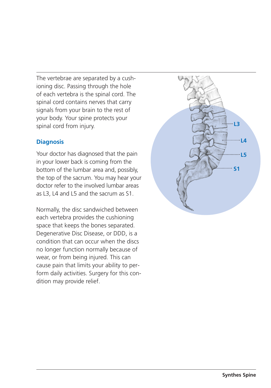The vertebrae are separated by a cushioning disc. Passing through the hole of each vertebra is the spinal cord. The spinal cord contains nerves that carry signals from your brain to the rest of your body. Your spine protects your spinal cord from injury.

#### **Diagnosis**

Your doctor has diagnosed that the pain in your lower back is coming from the bottom of the lumbar area and, possibly, the top of the sacrum. You may hear your doctor refer to the involved lumbar areas as L3, L4 and L5 and the sacrum as S1.

Normally, the disc sandwiched between each vertebra provides the cushioning space that keeps the bones separated. Degenerative Disc Disease, or DDD, is a condition that can occur when the discs no longer function normally because of wear, or from being injured. This can cause pain that limits your ability to perform daily activities. Surgery for this condition may provide relief.

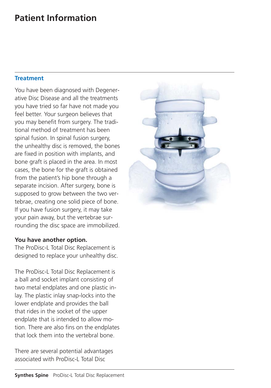#### **Treatment**

You have been diagnosed with Degenerative Disc Disease and all the treatments you have tried so far have not made you feel better. Your surgeon believes that you may benefit from surgery. The traditional method of treatment has been spinal fusion. In spinal fusion surgery, the unhealthy disc is removed, the bones are fixed in position with implants, and bone graft is placed in the area. In most cases, the bone for the graft is obtained from the patient's hip bone through a separate incision. After surgery, bone is supposed to grow between the two vertebrae, creating one solid piece of bone. If you have fusion surgery, it may take your pain away, but the vertebrae surrounding the disc space are immobilized.

#### **You have another option.**

The ProDisc-L Total Disc Replacement is designed to replace your unhealthy disc.

The ProDisc-L Total Disc Replacement is a ball and socket implant consisting of two metal endplates and one plastic inlay. The plastic inlay snap-locks into the lower endplate and provides the ball that rides in the socket of the upper endplate that is intended to allow motion. There are also fins on the endplates that lock them into the vertebral bone.

There are several potential advantages associated with ProDisc-L Total Disc

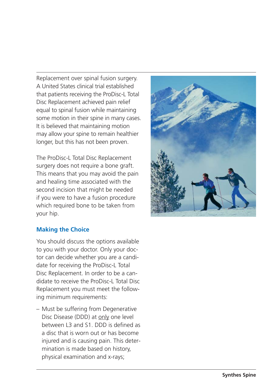Replacement over spinal fusion surgery. A United States clinical trial esta blished that patients receiving the ProDisc-L Total Disc Replacement achieved pain relief equal to spinal fusion while maintaining some motion in their spine in many cases. It is believed that maintaining motion may allow your spine to remain healthier longer, but this has not been proven.

The ProDisc-L Total Disc Replacement surgery does not require a bone graft. This means that you may avoid the pain and healing time associated with the second incision that might be needed if you were to have a fusion procedure which required bone to be taken from your hip.



#### **Making the Choice**

You should discuss the options availa ble to you with your doctor. Only your doctor can decide whether you are a candidate for receiving the ProDisc-L Total Disc Replacement. In order to be a candidate to receive the ProDisc-L Total Disc Replacement you must meet the following minimum requirements:

– Must be suffering from Degenerative Disc Disease (DDD) at only one level between L3 and S1. DDD is defined as a disc that is worn out or has become injured and is causing pain. This determination is made based on history, physical examination and x-rays;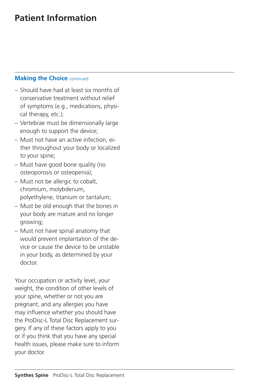#### **Making the Choice <b>continued**

- Should have had at least six months of conservative treatment without relief of symptoms (e.g., medications, physical therapy, etc.);
- Vertebrae must be dimensionally large enough to support the device;
- Must not have an active infection, either throughout your body or localized to your spine;
- Must have good bone quality (no osteoporosis or osteopenia);
- Must not be allergic to cobalt, chromium, molybdenum, polyethylene, titanium or tantalum;
- Must be old enough that the bones in your body are mature and no longer growing;
- Must not have spinal anatomy that would prevent implantation of the device or cause the device to be unstable in your body, as determined by your doctor.

Your occupation or activity level, your weight, the condition of other levels of your spine, whether or not you are pregnant, and any allergies you have may influence whether you should have the ProDisc-L Total Disc Replacement surgery. If any of these factors apply to you or if you think that you have any special health issues, please make sure to inform your doctor.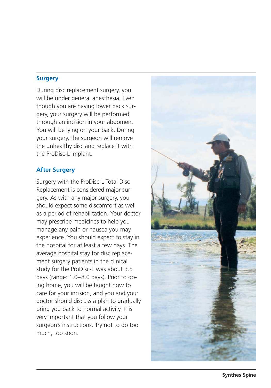#### **Surgery**

During disc replacement surgery, you will be under general anesthesia. Even though you are having lower back surgery, your surgery will be performed through an incision in your abdomen. You will be lying on your back. During your surgery, the surgeon will remove the unhealthy disc and replace it with the ProDisc-L implant.

#### **After Surgery**

Surgery with the ProDisc-L Total Disc Replacement is considered major surgery. As with any major surgery, you should expect some discomfort as well as a period of rehabilitation. Your doctor may prescribe medicines to help you manage any pain or nausea you may experience. You should expect to stay in the hospital for at least a few days. The average hospital stay for disc replacement surgery patients in the clinical study for the ProDisc-L was about 3.5 days (range: 1.0–8.0 days). Prior to going home, you will be taught how to care for your incision, and you and your doctor should discuss a plan to gradually bring you back to normal activity. It is very important that you follow your surgeon's instructions. Try not to do too much, too soon.

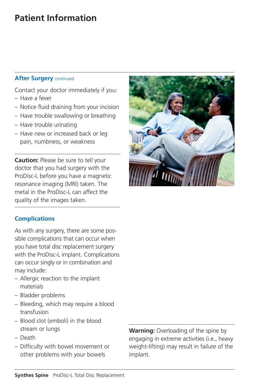### **After Surgery continued**

Contact your doctor immediately if you:

- Have a fever
- Notice fluid draining from your incision
- Have trouble swallowing or breathing
- Have trouble urinating
- Have new or increased back or leg pain, numbness, or weakness

**Caution:** Please be sure to tell your doctor that you had surgery with the ProDisc-L before you have a magnetic resonance imaging (MRI) taken. The metal in the ProDisc-L can affect the quality of the images taken.

### **Complications**

As with any surgery, there are some possible complications that can occur when you have total disc replacement surgery with the ProDisc-L implant. Complications can occur singly or in combination and may include:

- Allergic reaction to the implant materials
- Bladder problems
- Bleeding, which may require a blood transfusion
- Blood clot (emboli) in the blood stream or lungs
- Death
- Difficulty with bowel movement or other problems with your bowels

**Warning:** Overloading of the spine by engaging in extreme activities (i.e., heavy weight-lifting) may result in failure of the implant.

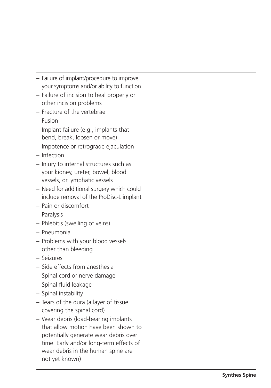- Failure of implant/procedure to improve your symptoms and/or a bility to function
- Failure of incision to heal properly or other incision pro blems
- Fracture of the verte brae
- Fusion
- Implant failure (e.g., implants that bend, break, loosen or move)
- Impotence or retrograde ejaculation
- Infection
- Injury to internal structures such as your kidney, ureter, bowel, blood vessels, or lymphatic vessels
- Need for additional surgery which could include removal of the ProDisc-L implant
- Pain or discomfort
- Paralysis
- Phle bitis (swelling of veins)
- Pneumonia
- Pro blems with your blood vessels other than bleeding
- Seizures
- Side effects from anesthesia
- Spinal cord or nerve damage
- Spinal fluid leakage
- Spinal insta bility
- Tears of the dura (a layer of tissue covering the spinal cord)
- Wear de bris (load-bearing implants that allow motion have been shown to potentially generate wear de bris over time. Early and/or long-term effects of wear de bris in the human spine are not yet known)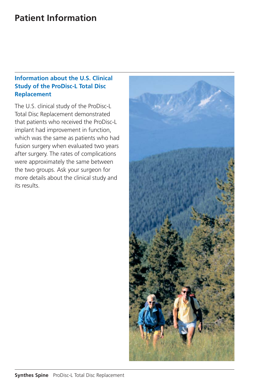### **Information about the U.S. Clinical Study of the ProDisc-L Total Disc Replacement**

The U.S. clinical study of the ProDisc-L Total Disc Replacement demonstrated that patients who received the ProDisc-L implant had improvement in function, which was the same as patients who had fusion surgery when evaluated two years after surgery. The rates of complications were approximately the same between the two groups. Ask your surgeon for more details about the clinical study and its results.

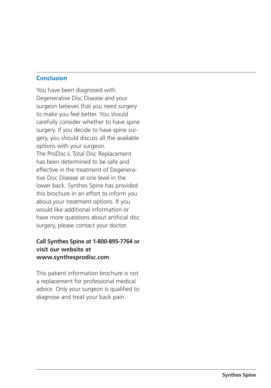#### **Conclusion**

You have been diagnosed with Degenerative Disc Disease and your surgeon believes that you need surgery to make you feel better. You should carefully consider whether to have spine surgery. If you decide to have spine surgery, you should discuss all the available options with your surgeon. The ProDisc-L Total Disc Replacement has been determined to be safe and effective in the treatment of Degenerative Disc Disease at one level in the lower back. Synthes Spine has provided this brochure in an effort to inform you about your treatment options. If you would like additional information or have more questions about artificial disc surgery, please contact your doctor.

#### **Call Synthes Spine at 1-800-895-7764 or visit our website at www.synthesprodisc.com**

This patient information brochure is not a replacement for professional medical advice. Only your surgeon is qualified to diagnose and treat your back pain.